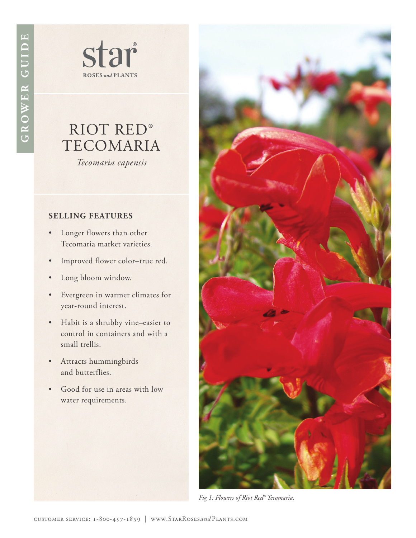star **ROSES** and **PLANTS** 

## RIOT RED® TECOMARIA

*Tecomaria capensis*

## **SELLING FEATURES**

- Longer flowers than other Tecomaria market varieties.
- Improved flower color–true red.
- Long bloom window.
- Evergreen in warmer climates for year-round interest.
- Habit is a shrubby vine–easier to control in containers and with a small trellis.
- Attracts hummingbirds and butterflies.
- Good for use in areas with low water requirements.



*Fig 1: Flowers of Riot Red® Tecomaria.*